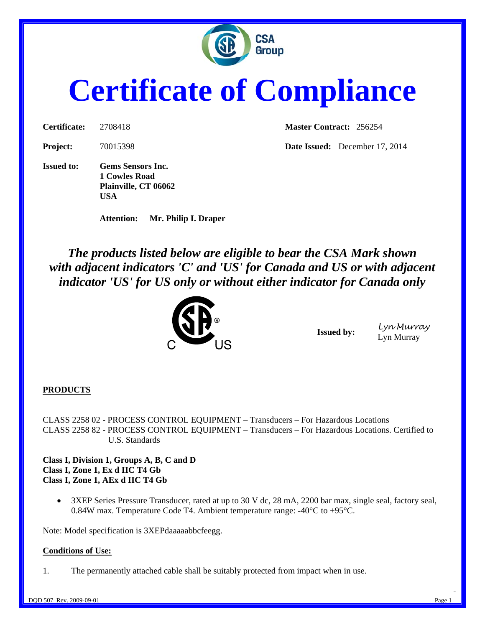

# **Certificate of Compliance**

**Issued to: Gems Sensors Inc. 1 Cowles Road Plainville, CT 06062 USA** 

**Attention: Mr. Philip I. Draper** 

**Certificate:** 2708418 **Master Contract:** 256254

**Project:** 70015398 **Date Issued:** December 17, 2014

*The products listed below are eligible to bear the CSA Mark shown with adjacent indicators 'C' and 'US' for Canada and US or with adjacent indicator 'US' for US only or without either indicator for Canada only* 



**Issued by:** Lyn Murray Lyn Murray

#### **PRODUCTS**

CLASS 2258 02 - PROCESS CONTROL EQUIPMENT – Transducers – For Hazardous Locations CLASS 2258 82 - PROCESS CONTROL EQUIPMENT – Transducers – For Hazardous Locations. Certified to U.S. Standards

**Class I, Division 1, Groups A, B, C and D Class I, Zone 1, Ex d IIC T4 Gb Class I, Zone 1, AEx d IIC T4 Gb** 

• 3XEP Series Pressure Transducer, rated at up to 30 V dc, 28 mA, 2200 bar max, single seal, factory seal, 0.84W max. Temperature Code T4. Ambient temperature range: -40°C to +95°C.

For the contract of the contract of the contract of the contract of the contract of the contract of the contract of

Note: Model specification is 3XEPdaaaaabbcfeegg.

#### **Conditions of Use:**

1. The permanently attached cable shall be suitably protected from impact when in use.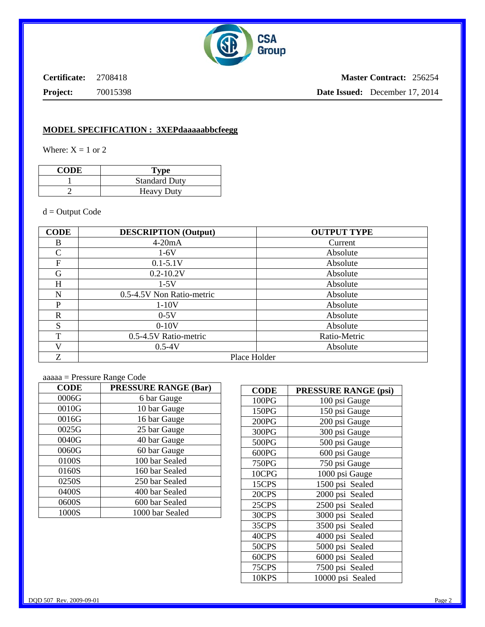

**Certificate:** 2708418

**Project:** 70015398

**Master Contract:** 256254 **Date Issued:** December 17, 2014

#### **MODEL SPECIFICATION : 3XEPdaaaaabbcfeegg**

Where:  $X = 1$  or 2

| <b>CODE</b> | Type                 |  |
|-------------|----------------------|--|
|             | <b>Standard Duty</b> |  |
|             | <b>Heavy Duty</b>    |  |

 $d =$ Output Code

| <b>CODE</b>  | <b>DESCRIPTION</b> (Output) | <b>OUTPUT TYPE</b> |  |
|--------------|-----------------------------|--------------------|--|
| B            | $4-20mA$                    | Current            |  |
| $\mathsf{C}$ | $1-6V$                      | Absolute           |  |
| $\mathbf F$  | $0.1 - 5.1V$                | Absolute           |  |
| G            | $0.2 - 10.2V$               | Absolute           |  |
| H            | $1-5V$                      | Absolute           |  |
| N            | 0.5-4.5V Non Ratio-metric   | Absolute           |  |
| P            | $1-10V$                     | Absolute           |  |
| R            | $0-5V$                      | Absolute           |  |
| S            | $0-10V$                     | Absolute           |  |
| T            | 0.5-4.5V Ratio-metric       | Ratio-Metric       |  |
| V            | $0.5 - 4V$                  | Absolute           |  |
| Z            | Place Holder                |                    |  |

aaaaa = Pressure Range Code

| <b>CODE</b> | <b>PRESSURE RANGE (Bar)</b> |  |  |
|-------------|-----------------------------|--|--|
| 0006G       | 6 bar Gauge                 |  |  |
| 0010G       | 10 bar Gauge                |  |  |
| 0016G       | 16 bar Gauge                |  |  |
| 0025G       | 25 bar Gauge                |  |  |
| 0040G       | 40 bar Gauge                |  |  |
| 0060G       | 60 bar Gauge                |  |  |
| 0100S       | 100 bar Sealed              |  |  |
| 0160S       | 160 bar Sealed              |  |  |
| 0250S       | 250 bar Sealed              |  |  |
| 0400S       | 400 bar Sealed              |  |  |
| 0600S       | 600 bar Sealed              |  |  |
| 1000S       | 1000 bar Sealed             |  |  |

| <b>CODE</b> | <b>PRESSURE RANGE (psi)</b> |
|-------------|-----------------------------|
| 100PG       | 100 psi Gauge               |
| 150PG       | 150 psi Gauge               |
| 200PG       | 200 psi Gauge               |
| 300PG       | 300 psi Gauge               |
| 500PG       | 500 psi Gauge               |
| 600PG       | 600 psi Gauge               |
| 750PG       | 750 psi Gauge               |
| 10CPG       | 1000 psi Gauge              |
| 15CPS       | 1500 psi Sealed             |
| 20CPS       | 2000 psi Sealed             |
| 25CPS       | 2500 psi Sealed             |
| 30CPS       | 3000 psi Sealed             |
| 35CPS       | 3500 psi Sealed             |
| 40CPS       | 4000 psi Sealed             |
| 50CPS       | 5000 psi Sealed             |
| 60CPS       | 6000 psi Sealed             |
| 75CPS       | 7500 psi Sealed             |
| 10KPS       | 10000 psi Sealed            |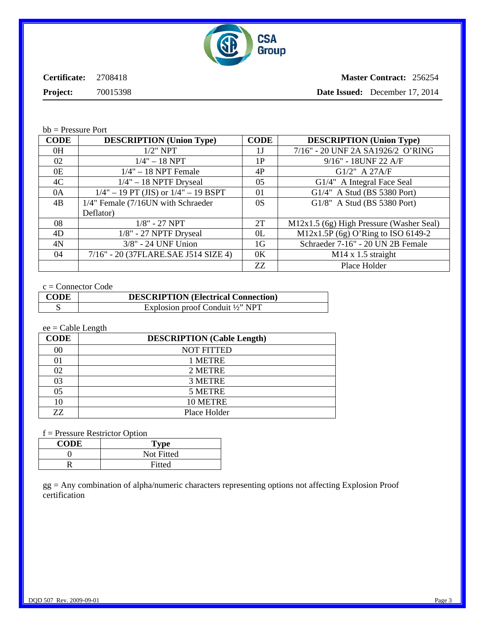

**Certificate:** 2708418

**Master Contract:** 256254

**Project:** 70015398

**Date Issued:** December 17, 2014

bb = Pressure Port

| <b>CODE</b> | <b>DESCRIPTION</b> (Union Type)          | <b>CODE</b>    | <b>DESCRIPTION</b> (Union Type)          |
|-------------|------------------------------------------|----------------|------------------------------------------|
| 0H          | $1/2$ " NPT                              | 1 J            | 7/16" - 20 UNF 2A SA1926/2 O'RING        |
| 02          | $1/4" - 18$ NPT                          | 1P             | 9/16" - 18UNF 22 A/F                     |
| 0E          | $1/4" - 18$ NPT Female                   | 4P             | G1/2" A 27A/F                            |
| 4C          | $1/4" - 18$ NPTF Dryseal                 | 0.5            | G1/4" A Integral Face Seal               |
| 0A          | $1/4" - 19$ PT (JIS) or $1/4" - 19$ BSPT | 01             | G1/4" A Stud (BS 5380 Port)              |
| 4B          | 1/4" Female (7/16UN with Schraeder       | 0S             | G1/8" A Stud (BS 5380 Port)              |
|             | Deflator)                                |                |                                          |
| 08          | $1/8" - 27$ NPT                          | 2T             | M12x1.5 (6g) High Pressure (Washer Seal) |
| 4D          | $1/8$ " - 27 NPTF Dryseal                | 0 <sub>L</sub> | M12x1.5P (6g) O'Ring to ISO 6149-2       |
| 4N          | 3/8" - 24 UNF Union                      | 1G             | Schraeder 7-16" - 20 UN 2B Female        |
| 04          | 7/16" - 20 (37FLARE.SAE J514 SIZE 4)     | 0 <sub>K</sub> | $M14 \times 1.5$ straight                |
|             |                                          | ZZ             | Place Holder                             |

#### c = Connector Code

| <b>CODE</b> | <b>DESCRIPTION</b> (Electrical Connection)  |
|-------------|---------------------------------------------|
|             | Explosion proof Conduit $\frac{1}{2}$ " NPT |

## ee = Cable Length

| <b>CODE</b> | <b>DESCRIPTION</b> (Cable Length) |
|-------------|-----------------------------------|
| 00          | <b>NOT FITTED</b>                 |
| 01          | 1 METRE                           |
| 02          | 2 METRE                           |
| 03          | 3 METRE                           |
| 05          | 5 METRE                           |
| 10          | 10 METRE                          |
| 77.         | Place Holder                      |

f = Pressure Restrictor Option

| <b>CODE</b> | Type       |
|-------------|------------|
|             | Not Fitted |
| D           | Fitted     |

gg = Any combination of alpha/numeric characters representing options not affecting Explosion Proof certification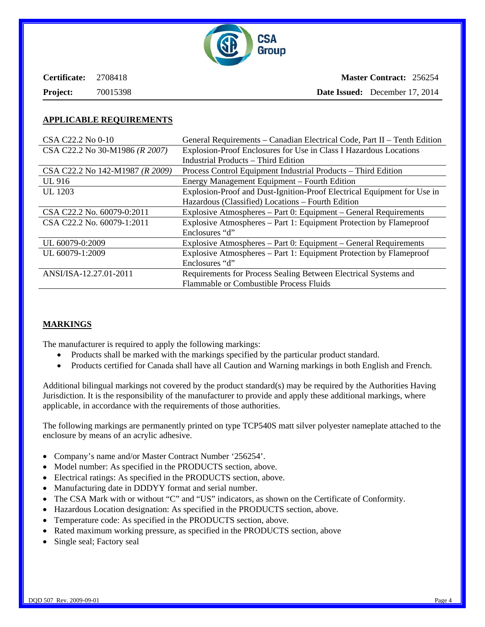

| Certificate:    | 2708418  |
|-----------------|----------|
| <b>Project:</b> | 70015398 |

**Master Contract:** 256254 **Date Issued:** December 17, 2014

#### **APPLICABLE REQUIREMENTS**

| CSA C22.2 No 0-10               | General Requirements – Canadian Electrical Code, Part II – Tenth Edition |  |
|---------------------------------|--------------------------------------------------------------------------|--|
| CSA C22.2 No 30-M1986 (R 2007)  | Explosion-Proof Enclosures for Use in Class I Hazardous Locations        |  |
|                                 | <b>Industrial Products – Third Edition</b>                               |  |
| CSA C22.2 No 142-M1987 (R 2009) | Process Control Equipment Industrial Products – Third Edition            |  |
| UL 916                          | Energy Management Equipment – Fourth Edition                             |  |
| <b>UL</b> 1203                  | Explosion-Proof and Dust-Ignition-Proof Electrical Equipment for Use in  |  |
|                                 | Hazardous (Classified) Locations - Fourth Edition                        |  |
| CSA C22.2 No. 60079-0:2011      | Explosive Atmospheres – Part 0: Equipment – General Requirements         |  |
| CSA C22.2 No. 60079-1:2011      | Explosive Atmospheres – Part 1: Equipment Protection by Flameproof       |  |
|                                 | Enclosures "d"                                                           |  |
| UL 60079-0:2009                 | Explosive Atmospheres – Part 0: Equipment – General Requirements         |  |
| UL 60079-1:2009                 | Explosive Atmospheres – Part 1: Equipment Protection by Flameproof       |  |
|                                 | Enclosures "d"                                                           |  |
| ANSI/ISA-12.27.01-2011          | Requirements for Process Sealing Between Electrical Systems and          |  |
|                                 | <b>Flammable or Combustible Process Fluids</b>                           |  |

## **MARKINGS**

The manufacturer is required to apply the following markings:

- Products shall be marked with the markings specified by the particular product standard.
- Products certified for Canada shall have all Caution and Warning markings in both English and French.

Additional bilingual markings not covered by the product standard(s) may be required by the Authorities Having Jurisdiction. It is the responsibility of the manufacturer to provide and apply these additional markings, where applicable, in accordance with the requirements of those authorities.

The following markings are permanently printed on type TCP540S matt silver polyester nameplate attached to the enclosure by means of an acrylic adhesive.

- Company's name and/or Master Contract Number '256254'.
- Model number: As specified in the PRODUCTS section, above.
- Electrical ratings: As specified in the PRODUCTS section, above.
- Manufacturing date in DDDYY format and serial number.
- The CSA Mark with or without "C" and "US" indicators, as shown on the Certificate of Conformity.
- Hazardous Location designation: As specified in the PRODUCTS section, above.
- Temperature code: As specified in the PRODUCTS section, above.
- Rated maximum working pressure, as specified in the PRODUCTS section, above
- Single seal; Factory seal